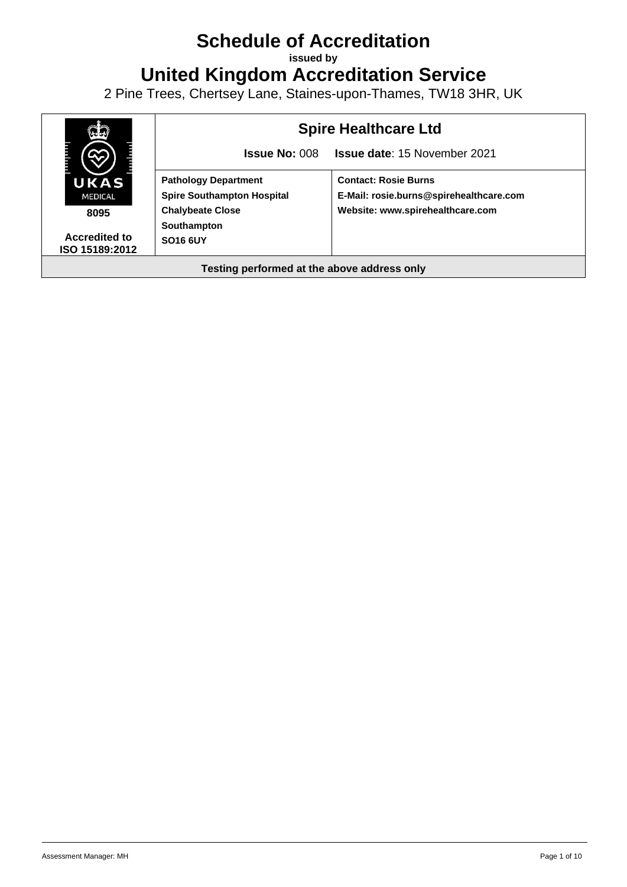# **Schedule of Accreditation**

**issued by**

**United Kingdom Accreditation Service**

2 Pine Trees, Chertsey Lane, Staines-upon-Thames, TW18 3HR, UK

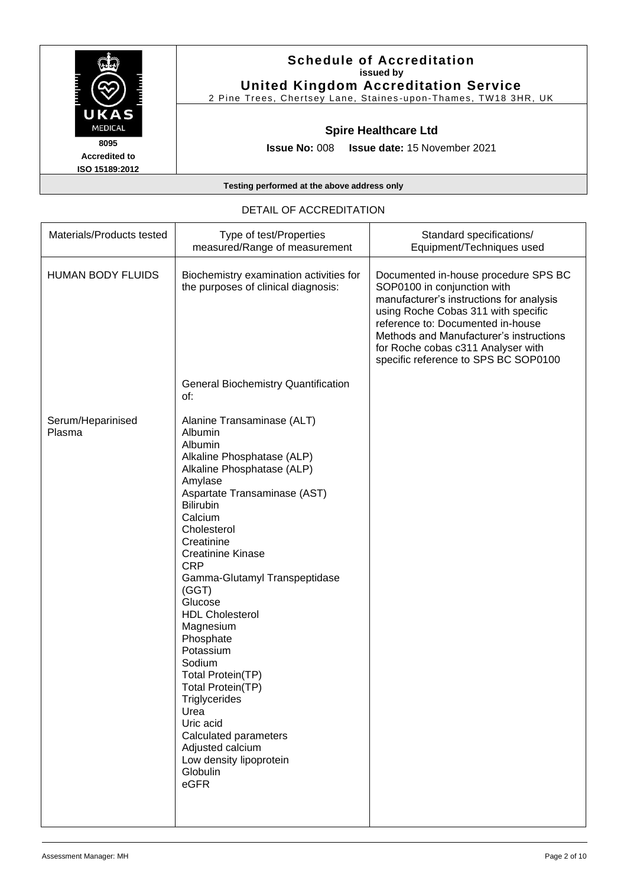

## DETAIL OF ACCREDITATION

| Materials/Products tested   | Type of test/Properties<br>measured/Range of measurement                                                                                                                                                                                                                                                                                                                                                                                                                                                                                                                  | Standard specifications/<br>Equipment/Techniques used                                                                                                                                                                                                                                                                |
|-----------------------------|---------------------------------------------------------------------------------------------------------------------------------------------------------------------------------------------------------------------------------------------------------------------------------------------------------------------------------------------------------------------------------------------------------------------------------------------------------------------------------------------------------------------------------------------------------------------------|----------------------------------------------------------------------------------------------------------------------------------------------------------------------------------------------------------------------------------------------------------------------------------------------------------------------|
| <b>HUMAN BODY FLUIDS</b>    | Biochemistry examination activities for<br>the purposes of clinical diagnosis:                                                                                                                                                                                                                                                                                                                                                                                                                                                                                            | Documented in-house procedure SPS BC<br>SOP0100 in conjunction with<br>manufacturer's instructions for analysis<br>using Roche Cobas 311 with specific<br>reference to: Documented in-house<br>Methods and Manufacturer's instructions<br>for Roche cobas c311 Analyser with<br>specific reference to SPS BC SOP0100 |
|                             | <b>General Biochemistry Quantification</b><br>of:                                                                                                                                                                                                                                                                                                                                                                                                                                                                                                                         |                                                                                                                                                                                                                                                                                                                      |
| Serum/Heparinised<br>Plasma | Alanine Transaminase (ALT)<br>Albumin<br>Albumin<br>Alkaline Phosphatase (ALP)<br>Alkaline Phosphatase (ALP)<br>Amylase<br>Aspartate Transaminase (AST)<br><b>Bilirubin</b><br>Calcium<br>Cholesterol<br>Creatinine<br><b>Creatinine Kinase</b><br><b>CRP</b><br>Gamma-Glutamyl Transpeptidase<br>(GGT)<br>Glucose<br><b>HDL Cholesterol</b><br>Magnesium<br>Phosphate<br>Potassium<br>Sodium<br>Total Protein(TP)<br>Total Protein(TP)<br>Triglycerides<br>Urea<br>Uric acid<br>Calculated parameters<br>Adjusted calcium<br>Low density lipoprotein<br>Globulin<br>eGFR |                                                                                                                                                                                                                                                                                                                      |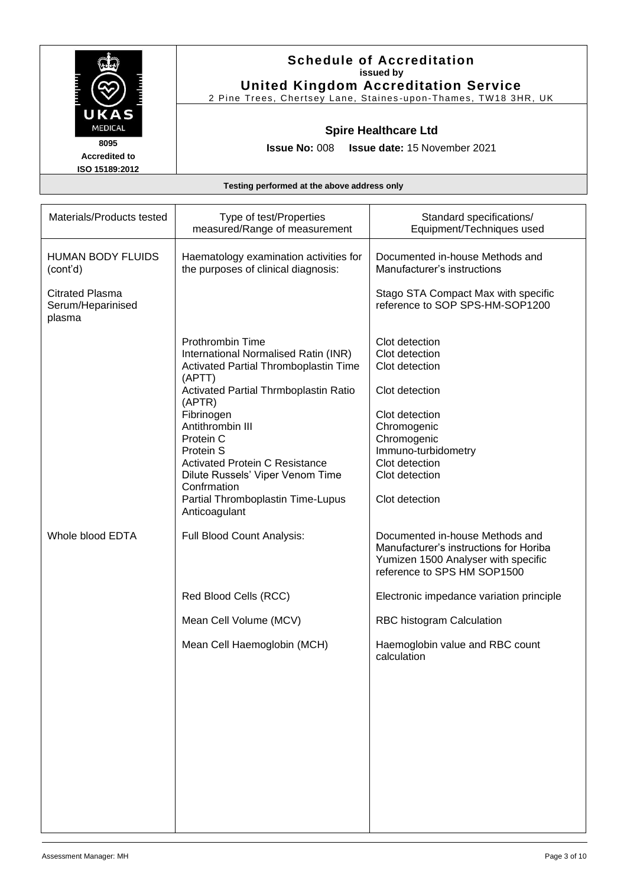

**Accredited to ISO 15189:2012**

## **Schedule of Accreditation issued by United Kingdom Accreditation Service**

2 Pine Trees, Chertsey Lane, Staines -upon -Thames, TW18 3HR, UK

## **Spire Healthcare Ltd**

**Issue No:** 008 **Issue date:** 15 November 2021

| Materials/Products tested                             | Type of test/Properties<br>measured/Range of measurement                                                                                                                                                                                                                                                                                                                                   | Standard specifications/<br>Equipment/Techniques used                                                                                                                                             |
|-------------------------------------------------------|--------------------------------------------------------------------------------------------------------------------------------------------------------------------------------------------------------------------------------------------------------------------------------------------------------------------------------------------------------------------------------------------|---------------------------------------------------------------------------------------------------------------------------------------------------------------------------------------------------|
| <b>HUMAN BODY FLUIDS</b><br>(cont'd)                  | Haematology examination activities for<br>the purposes of clinical diagnosis:                                                                                                                                                                                                                                                                                                              | Documented in-house Methods and<br>Manufacturer's instructions                                                                                                                                    |
| <b>Citrated Plasma</b><br>Serum/Heparinised<br>plasma |                                                                                                                                                                                                                                                                                                                                                                                            | Stago STA Compact Max with specific<br>reference to SOP SPS-HM-SOP1200                                                                                                                            |
|                                                       | <b>Prothrombin Time</b><br>International Normalised Ratin (INR)<br>Activated Partial Thromboplastin Time<br>(APTT)<br>Activated Partial Thrmboplastin Ratio<br>(APTR)<br>Fibrinogen<br>Antithrombin III<br>Protein C<br><b>Protein S</b><br><b>Activated Protein C Resistance</b><br>Dilute Russels' Viper Venom Time<br>Confrmation<br>Partial Thromboplastin Time-Lupus<br>Anticoagulant | Clot detection<br>Clot detection<br>Clot detection<br>Clot detection<br>Clot detection<br>Chromogenic<br>Chromogenic<br>Immuno-turbidometry<br>Clot detection<br>Clot detection<br>Clot detection |
| Whole blood EDTA                                      | Full Blood Count Analysis:                                                                                                                                                                                                                                                                                                                                                                 | Documented in-house Methods and<br>Manufacturer's instructions for Horiba<br>Yumizen 1500 Analyser with specific<br>reference to SPS HM SOP1500                                                   |
|                                                       | Red Blood Cells (RCC)                                                                                                                                                                                                                                                                                                                                                                      | Electronic impedance variation principle                                                                                                                                                          |
|                                                       | Mean Cell Volume (MCV)                                                                                                                                                                                                                                                                                                                                                                     | RBC histogram Calculation                                                                                                                                                                         |
|                                                       | Mean Cell Haemoglobin (MCH)                                                                                                                                                                                                                                                                                                                                                                | Haemoglobin value and RBC count<br>calculation                                                                                                                                                    |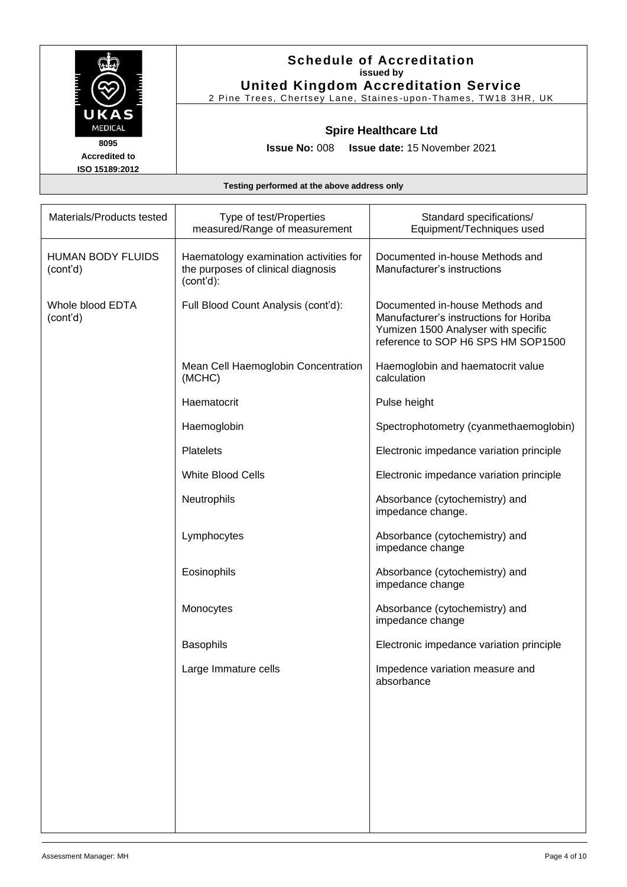| التنت لتنت<br>K7<br>MEDICAL | E |
|-----------------------------|---|
| 8095                        |   |

2 Pine Trees, Chertsey Lane, Staines -upon -Thames, TW18 3HR, UK

## **Spire Healthcare Ltd**

**Issue No:** 008 **Issue date:** 15 November 2021

**Accredited to ISO 15189:2012**

| Materials/Products tested            | Type of test/Properties<br>measured/Range of measurement                                  | Standard specifications/<br>Equipment/Techniques used                                                                                                  |
|--------------------------------------|-------------------------------------------------------------------------------------------|--------------------------------------------------------------------------------------------------------------------------------------------------------|
| <b>HUMAN BODY FLUIDS</b><br>(cont'd) | Haematology examination activities for<br>the purposes of clinical diagnosis<br>(cont'd): | Documented in-house Methods and<br>Manufacturer's instructions                                                                                         |
| Whole blood EDTA<br>(cont'd)         | Full Blood Count Analysis (cont'd):                                                       | Documented in-house Methods and<br>Manufacturer's instructions for Horiba<br>Yumizen 1500 Analyser with specific<br>reference to SOP H6 SPS HM SOP1500 |
|                                      | Mean Cell Haemoglobin Concentration<br>(MCHC)                                             | Haemoglobin and haematocrit value<br>calculation                                                                                                       |
|                                      | Haematocrit                                                                               | Pulse height                                                                                                                                           |
|                                      | Haemoglobin                                                                               | Spectrophotometry (cyanmethaemoglobin)                                                                                                                 |
|                                      | <b>Platelets</b>                                                                          | Electronic impedance variation principle                                                                                                               |
|                                      | <b>White Blood Cells</b>                                                                  | Electronic impedance variation principle                                                                                                               |
|                                      | Neutrophils                                                                               | Absorbance (cytochemistry) and<br>impedance change.                                                                                                    |
|                                      | Lymphocytes                                                                               | Absorbance (cytochemistry) and<br>impedance change                                                                                                     |
|                                      | Eosinophils                                                                               | Absorbance (cytochemistry) and<br>impedance change                                                                                                     |
|                                      | Monocytes                                                                                 | Absorbance (cytochemistry) and<br>impedance change                                                                                                     |
|                                      | <b>Basophils</b>                                                                          | Electronic impedance variation principle                                                                                                               |
|                                      | Large Immature cells                                                                      | Impedence variation measure and<br>absorbance                                                                                                          |
|                                      |                                                                                           |                                                                                                                                                        |
|                                      |                                                                                           |                                                                                                                                                        |
|                                      |                                                                                           |                                                                                                                                                        |
|                                      |                                                                                           |                                                                                                                                                        |
|                                      |                                                                                           |                                                                                                                                                        |
|                                      |                                                                                           |                                                                                                                                                        |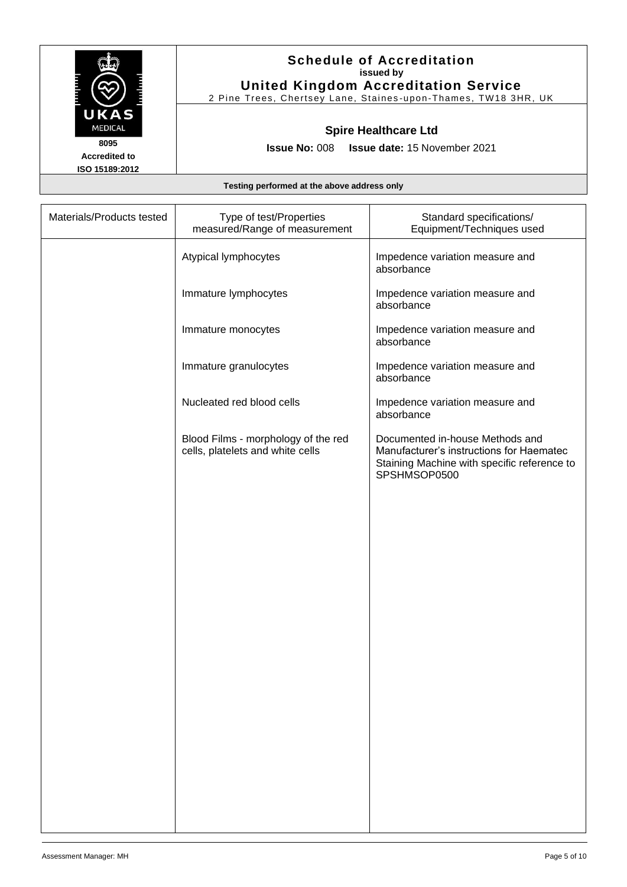| التلاليا لتنتب<br>È<br>К<br>MEDICAL |
|-------------------------------------|
| 8095                                |

**Accredited to ISO 15189:2012**

## **Schedule of Accreditation issued by United Kingdom Accreditation Service**

2 Pine Trees, Chertsey Lane, Staines -upon -Thames, TW18 3HR, UK

## **Spire Healthcare Ltd**

**Issue No:** 008 **Issue date:** 15 November 2021

| Materials/Products tested | Type of test/Properties<br>measured/Range of measurement                | Standard specifications/<br>Equipment/Techniques used                                                                                      |
|---------------------------|-------------------------------------------------------------------------|--------------------------------------------------------------------------------------------------------------------------------------------|
|                           | Atypical lymphocytes                                                    | Impedence variation measure and<br>absorbance                                                                                              |
|                           | Immature lymphocytes                                                    | Impedence variation measure and<br>absorbance                                                                                              |
|                           | Immature monocytes                                                      | Impedence variation measure and<br>absorbance                                                                                              |
|                           | Immature granulocytes                                                   | Impedence variation measure and<br>absorbance                                                                                              |
|                           | Nucleated red blood cells                                               | Impedence variation measure and<br>absorbance                                                                                              |
|                           | Blood Films - morphology of the red<br>cells, platelets and white cells | Documented in-house Methods and<br>Manufacturer's instructions for Haematec<br>Staining Machine with specific reference to<br>SPSHMSOP0500 |
|                           |                                                                         |                                                                                                                                            |
|                           |                                                                         |                                                                                                                                            |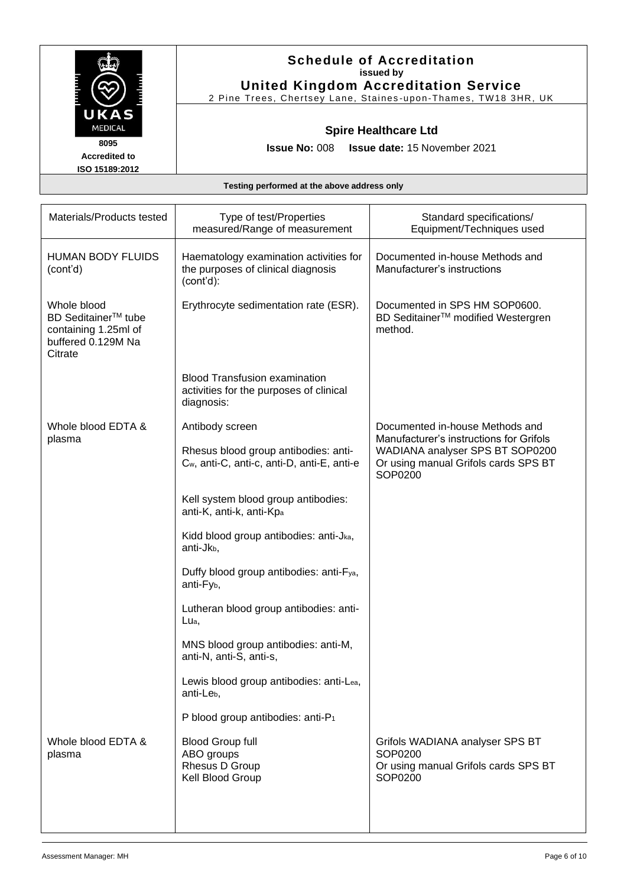

2 Pine Trees, Chertsey Lane, Staines -upon -Thames, TW18 3HR, UK

## **Spire Healthcare Ltd**

**Issue No:** 008 **Issue date:** 15 November 2021

**Accredited to ISO 15189:2012**

| Materials/Products tested                                                                               | Type of test/Properties<br>measured/Range of measurement                                        | Standard specifications/<br>Equipment/Techniques used                                                                         |
|---------------------------------------------------------------------------------------------------------|-------------------------------------------------------------------------------------------------|-------------------------------------------------------------------------------------------------------------------------------|
| <b>HUMAN BODY FLUIDS</b><br>(cont'd)                                                                    | Haematology examination activities for<br>the purposes of clinical diagnosis<br>$(cont'd)$ :    | Documented in-house Methods and<br>Manufacturer's instructions                                                                |
| Whole blood<br>BD Seditainer <sup>™</sup> tube<br>containing 1.25ml of<br>buffered 0.129M Na<br>Citrate | Erythrocyte sedimentation rate (ESR).                                                           | Documented in SPS HM SOP0600.<br>BD Seditainer <sup>™</sup> modified Westergren<br>method.                                    |
|                                                                                                         | <b>Blood Transfusion examination</b><br>activities for the purposes of clinical<br>diagnosis:   |                                                                                                                               |
| Whole blood EDTA &                                                                                      | Antibody screen                                                                                 | Documented in-house Methods and                                                                                               |
| plasma                                                                                                  | Rhesus blood group antibodies: anti-<br>C <sub>w</sub> , anti-C, anti-c, anti-D, anti-E, anti-e | Manufacturer's instructions for Grifols<br>WADIANA analyser SPS BT SOP0200<br>Or using manual Grifols cards SPS BT<br>SOP0200 |
|                                                                                                         | Kell system blood group antibodies:<br>anti-K, anti-k, anti-Kpa                                 |                                                                                                                               |
|                                                                                                         | Kidd blood group antibodies: anti-Jka,<br>anti-Jkb,                                             |                                                                                                                               |
|                                                                                                         | Duffy blood group antibodies: anti-Fya,<br>anti-Fy <sub>b</sub> ,                               |                                                                                                                               |
|                                                                                                         | Lutheran blood group antibodies: anti-<br>Lua,                                                  |                                                                                                                               |
|                                                                                                         | MNS blood group antibodies: anti-M,<br>anti-N, anti-S, anti-s,                                  |                                                                                                                               |
|                                                                                                         | Lewis blood group antibodies: anti-Lea,<br>anti-Le <sub>b</sub> ,                               |                                                                                                                               |
|                                                                                                         | P blood group antibodies: anti-P1                                                               |                                                                                                                               |
| Whole blood EDTA &<br>plasma                                                                            | <b>Blood Group full</b><br>ABO groups<br>Rhesus D Group<br>Kell Blood Group                     | Grifols WADIANA analyser SPS BT<br>SOP0200<br>Or using manual Grifols cards SPS BT<br>SOP0200                                 |
|                                                                                                         |                                                                                                 |                                                                                                                               |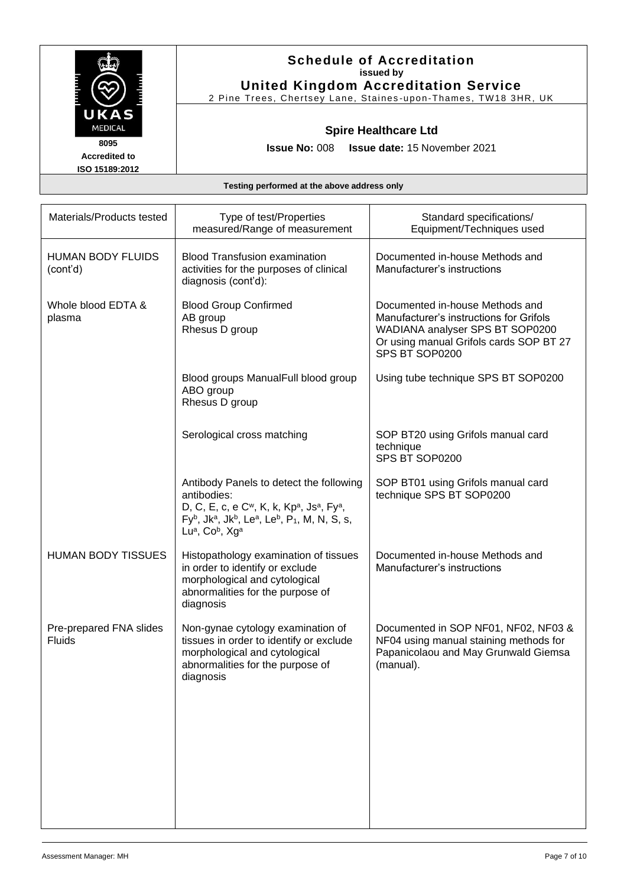| <b>The Second Second Second</b><br>К.<br>MEDICAL | FE E |
|--------------------------------------------------|------|
| 8095                                             |      |

2 Pine Trees, Chertsey Lane, Staines -upon -Thames, TW18 3HR, UK

## **Spire Healthcare Ltd**

**Issue No:** 008 **Issue date:** 15 November 2021

**Accredited to ISO 15189:2012**

| Materials/Products tested            | Type of test/Properties<br>measured/Range of measurement                                                                                                                                                                                                                                                                       | Standard specifications/<br>Equipment/Techniques used                                                                                                                      |
|--------------------------------------|--------------------------------------------------------------------------------------------------------------------------------------------------------------------------------------------------------------------------------------------------------------------------------------------------------------------------------|----------------------------------------------------------------------------------------------------------------------------------------------------------------------------|
| <b>HUMAN BODY FLUIDS</b><br>(cont'd) | <b>Blood Transfusion examination</b><br>activities for the purposes of clinical<br>diagnosis (cont'd):                                                                                                                                                                                                                         | Documented in-house Methods and<br>Manufacturer's instructions                                                                                                             |
| Whole blood EDTA &<br>plasma         | <b>Blood Group Confirmed</b><br>AB group<br>Rhesus D group                                                                                                                                                                                                                                                                     | Documented in-house Methods and<br>Manufacturer's instructions for Grifols<br>WADIANA analyser SPS BT SOP0200<br>Or using manual Grifols cards SOP BT 27<br>SPS BT SOP0200 |
|                                      | Blood groups ManualFull blood group<br>ABO group<br>Rhesus D group                                                                                                                                                                                                                                                             | Using tube technique SPS BT SOP0200                                                                                                                                        |
|                                      | Serological cross matching                                                                                                                                                                                                                                                                                                     | SOP BT20 using Grifols manual card<br>technique<br>SPS BT SOP0200                                                                                                          |
|                                      | Antibody Panels to detect the following<br>antibodies:<br>D, C, E, c, e C <sup>w</sup> , K, k, Kp <sup>a</sup> , Js <sup>a</sup> , Fy <sup>a</sup> ,<br>$Fy^{b}$ , Jk <sup>a</sup> , Jk <sup>b</sup> , Le <sup>a</sup> , Le <sup>b</sup> , P <sub>1</sub> , M, N, S, s,<br>Lu <sup>a</sup> , Co <sup>b</sup> , Xg <sup>a</sup> | SOP BT01 using Grifols manual card<br>technique SPS BT SOP0200                                                                                                             |
| <b>HUMAN BODY TISSUES</b>            | Histopathology examination of tissues<br>in order to identify or exclude<br>morphological and cytological<br>abnormalities for the purpose of<br>diagnosis                                                                                                                                                                     | Documented in-house Methods and<br>Manufacturer's instructions                                                                                                             |
| Pre-prepared FNA slides<br>Fluids    | Non-gynae cytology examination of<br>tissues in order to identify or exclude<br>morphological and cytological<br>abnormalities for the purpose of<br>diagnosis                                                                                                                                                                 | Documented in SOP NF01, NF02, NF03 &<br>NF04 using manual staining methods for<br>Papanicolaou and May Grunwald Giemsa<br>(manual).                                        |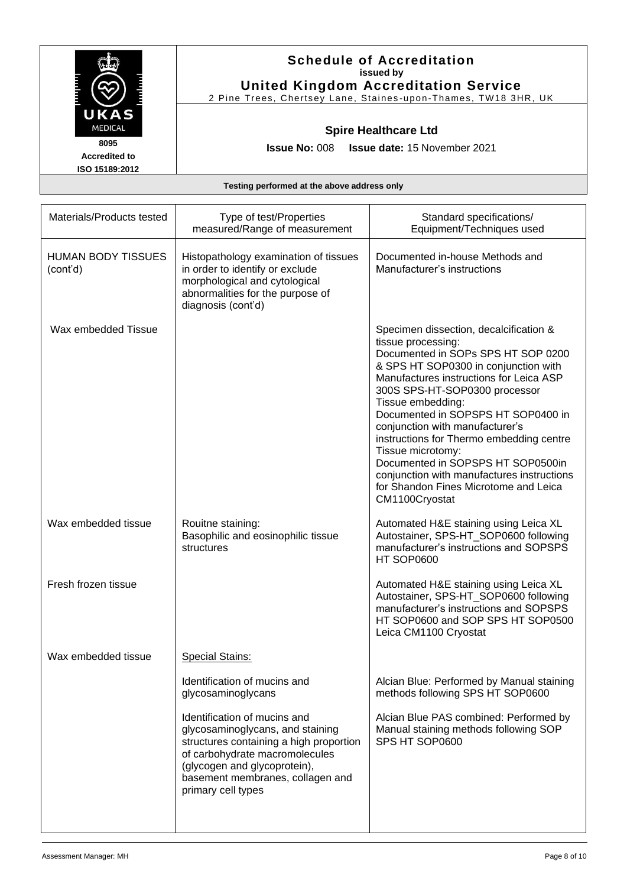|                                                                          | <b>Schedule of Accreditation</b><br>issued by<br><b>United Kingdom Accreditation Service</b><br>2 Pine Trees, Chertsey Lane, Staines-upon-Thames, TW18 3HR, UK |                                                       |
|--------------------------------------------------------------------------|----------------------------------------------------------------------------------------------------------------------------------------------------------------|-------------------------------------------------------|
| UKAS<br><b>MEDICAL</b><br>8095<br><b>Accredited to</b><br>ISO 15189:2012 | <b>Spire Healthcare Ltd</b><br><b>Issue No: 008 Issue date: 15 November 2021</b>                                                                               |                                                       |
| Testing performed at the above address only                              |                                                                                                                                                                |                                                       |
|                                                                          |                                                                                                                                                                |                                                       |
| Materials/Products tested                                                | Type of test/Properties<br>measured/Range of measurement                                                                                                       | Standard specifications/<br>Equipment/Techniques used |
| LII IMANI DODV TICCI IEC                                                 | Historiathology examination of tionups                                                                                                                         | Documented in house Methods and                       |

|                                       | mododica/rtange or mododicmont                                                                                                                                                                                                          | Lydiphiche rechniques ascu                                                                                                                                                                                                                                                                                                                                                                                                                                                                                                          |
|---------------------------------------|-----------------------------------------------------------------------------------------------------------------------------------------------------------------------------------------------------------------------------------------|-------------------------------------------------------------------------------------------------------------------------------------------------------------------------------------------------------------------------------------------------------------------------------------------------------------------------------------------------------------------------------------------------------------------------------------------------------------------------------------------------------------------------------------|
| <b>HUMAN BODY TISSUES</b><br>(cont'd) | Histopathology examination of tissues<br>in order to identify or exclude<br>morphological and cytological<br>abnormalities for the purpose of<br>diagnosis (cont'd)                                                                     | Documented in-house Methods and<br>Manufacturer's instructions                                                                                                                                                                                                                                                                                                                                                                                                                                                                      |
| Wax embedded Tissue                   |                                                                                                                                                                                                                                         | Specimen dissection, decalcification &<br>tissue processing:<br>Documented in SOPs SPS HT SOP 0200<br>& SPS HT SOP0300 in conjunction with<br>Manufactures instructions for Leica ASP<br>300S SPS-HT-SOP0300 processor<br>Tissue embedding:<br>Documented in SOPSPS HT SOP0400 in<br>conjunction with manufacturer's<br>instructions for Thermo embedding centre<br>Tissue microtomy:<br>Documented in SOPSPS HT SOP0500in<br>conjunction with manufactures instructions<br>for Shandon Fines Microtome and Leica<br>CM1100Cryostat |
| Wax embedded tissue                   | Rouitne staining:<br>Basophilic and eosinophilic tissue<br>structures                                                                                                                                                                   | Automated H&E staining using Leica XL<br>Autostainer, SPS-HT_SOP0600 following<br>manufacturer's instructions and SOPSPS<br>HT SOP0600                                                                                                                                                                                                                                                                                                                                                                                              |
| Fresh frozen tissue                   |                                                                                                                                                                                                                                         | Automated H&E staining using Leica XL<br>Autostainer, SPS-HT_SOP0600 following<br>manufacturer's instructions and SOPSPS<br>HT SOP0600 and SOP SPS HT SOP0500<br>Leica CM1100 Cryostat                                                                                                                                                                                                                                                                                                                                              |
| Wax embedded tissue                   | <b>Special Stains:</b>                                                                                                                                                                                                                  |                                                                                                                                                                                                                                                                                                                                                                                                                                                                                                                                     |
|                                       | Identification of mucins and<br>glycosaminoglycans                                                                                                                                                                                      | Alcian Blue: Performed by Manual staining<br>methods following SPS HT SOP0600                                                                                                                                                                                                                                                                                                                                                                                                                                                       |
|                                       | Identification of mucins and<br>glycosaminoglycans, and staining<br>structures containing a high proportion<br>of carbohydrate macromolecules<br>(glycogen and glycoprotein),<br>basement membranes, collagen and<br>primary cell types | Alcian Blue PAS combined: Performed by<br>Manual staining methods following SOP<br>SPS HT SOP0600                                                                                                                                                                                                                                                                                                                                                                                                                                   |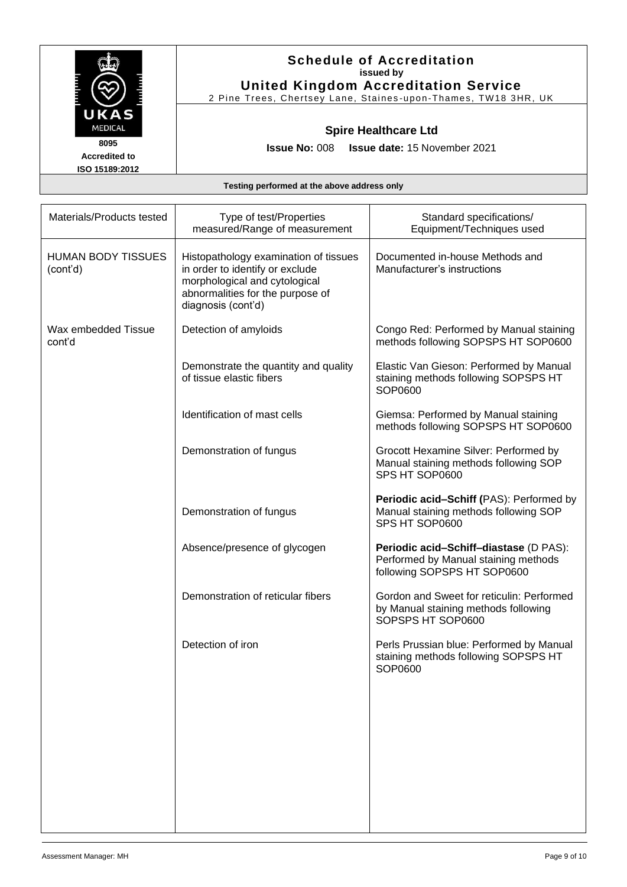|                                                                          | <b>Schedule of Accreditation</b><br>issued by<br><b>United Kingdom Accreditation Service</b><br>2 Pine Trees, Chertsey Lane, Staines-upon-Thames, TW18 3HR, UK |
|--------------------------------------------------------------------------|----------------------------------------------------------------------------------------------------------------------------------------------------------------|
| UKAS<br><b>MEDICAL</b><br>8095<br><b>Accredited to</b><br>ISO 15189:2012 | <b>Spire Healthcare Ltd</b><br><b>Issue date: 15 November 2021</b><br><b>Issue No: <math>008</math></b>                                                        |

| Materials/Products tested             | Type of test/Properties<br>measured/Range of measurement                                                                                                            | Standard specifications/<br>Equipment/Techniques used                                                         |
|---------------------------------------|---------------------------------------------------------------------------------------------------------------------------------------------------------------------|---------------------------------------------------------------------------------------------------------------|
| <b>HUMAN BODY TISSUES</b><br>(cont'd) | Histopathology examination of tissues<br>in order to identify or exclude<br>morphological and cytological<br>abnormalities for the purpose of<br>diagnosis (cont'd) | Documented in-house Methods and<br>Manufacturer's instructions                                                |
| Wax embedded Tissue<br>cont'd         | Detection of amyloids                                                                                                                                               | Congo Red: Performed by Manual staining<br>methods following SOPSPS HT SOP0600                                |
|                                       | Demonstrate the quantity and quality<br>of tissue elastic fibers                                                                                                    | Elastic Van Gieson: Performed by Manual<br>staining methods following SOPSPS HT<br>SOP0600                    |
|                                       | Identification of mast cells                                                                                                                                        | Giemsa: Performed by Manual staining<br>methods following SOPSPS HT SOP0600                                   |
|                                       | Demonstration of fungus                                                                                                                                             | Grocott Hexamine Silver: Performed by<br>Manual staining methods following SOP<br>SPS HT SOP0600              |
|                                       | Demonstration of fungus                                                                                                                                             | Periodic acid-Schiff (PAS): Performed by<br>Manual staining methods following SOP<br>SPS HT SOP0600           |
|                                       | Absence/presence of glycogen                                                                                                                                        | Periodic acid-Schiff-diastase (D PAS):<br>Performed by Manual staining methods<br>following SOPSPS HT SOP0600 |
|                                       | Demonstration of reticular fibers                                                                                                                                   | Gordon and Sweet for reticulin: Performed<br>by Manual staining methods following<br>SOPSPS HT SOP0600        |
|                                       | Detection of iron                                                                                                                                                   | Perls Prussian blue: Performed by Manual<br>staining methods following SOPSPS HT<br>SOP0600                   |
|                                       |                                                                                                                                                                     |                                                                                                               |
|                                       |                                                                                                                                                                     |                                                                                                               |
|                                       |                                                                                                                                                                     |                                                                                                               |
|                                       |                                                                                                                                                                     |                                                                                                               |